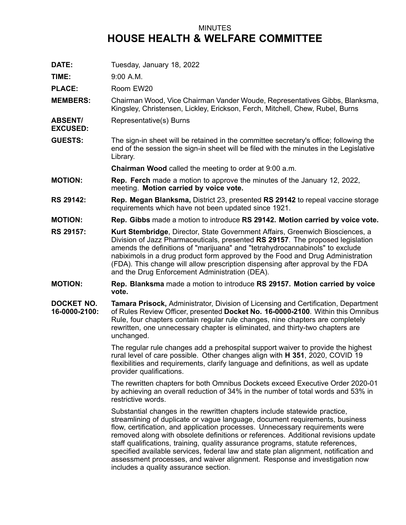## MINUTES **HOUSE HEALTH & WELFARE COMMITTEE**

**DATE:** Tuesday, January 18, 2022

**TIME:** 9:00 A.M.

PLACE: Room EW20

- **MEMBERS:** Chairman Wood, Vice Chairman Vander Woude, Representatives Gibbs, Blanksma, Kingsley, Christensen, Lickley, Erickson, Ferch, Mitchell, Chew, Rubel, Burns
- **ABSENT/** Representative(s) Burns

**EXCUSED:**

**GUESTS:** The sign-in sheet will be retained in the committee secretary's office; following the end of the session the sign-in sheet will be filed with the minutes in the Legislative Library.

**Chairman Wood** called the meeting to order at 9:00 a.m.

- **MOTION: Rep. Ferch** made <sup>a</sup> motion to approve the minutes of the January 12, 2022, meeting. **Motion carried by voice vote.**
- **RS 29142: Rep. Megan Blanksma,** District 23, presented **RS 29142** to repeal vaccine storage requirements which have not been updated since 1921.
- **MOTION: Rep. Gibbs** made <sup>a</sup> motion to introduce **RS 29142. Motion carried by voice vote.**
- **RS 29157: Kurt Stembridge**, Director, State Government Affairs, Greenwich Biosciences, <sup>a</sup> Division of Jazz Pharmaceuticals, presented **RS 29157**. The proposed legislation amends the definitions of "marijuana" and "tetrahydrocannabinols" to exclude nabiximols in <sup>a</sup> drug product form approved by the Food and Drug Administration (FDA). This change will allow prescription dispensing after approval by the FDA and the Drug Enforcement Administration (DEA).
- **MOTION: Rep. Blanksma** made <sup>a</sup> motion to introduce **RS 29157. Motion carried by voice vote.**
- **DOCKET NO. 16-0000-2100: Tamara Prisock,** Administrator, Division of Licensing and Certification, Department of Rules Review Officer, presented **Docket No. 16-0000-2100**. Within this Omnibus Rule, four chapters contain regular rule changes, nine chapters are completely rewritten, one unnecessary chapter is eliminated, and thirty-two chapters are unchanged.

The regular rule changes add <sup>a</sup> prehospital support waiver to provide the highest rural level of care possible. Other changes align with **H 351**, 2020, COVID 19 flexibilities and requirements, clarify language and definitions, as well as update provider qualifications.

The rewritten chapters for both Omnibus Dockets exceed Executive Order 2020-01 by achieving an overall reduction of 34% in the number of total words and 53% in restrictive words.

Substantial changes in the rewritten chapters include statewide practice, streamlining of duplicate or vague language, document requirements, business flow, certification, and application processes. Unnecessary requirements were removed along with obsolete definitions or references. Additional revisions update staff qualifications, training, quality assurance programs, statute references, specified available services, federal law and state plan alignment, notification and assessment processes, and waiver alignment. Response and investigation now includes <sup>a</sup> quality assurance section.